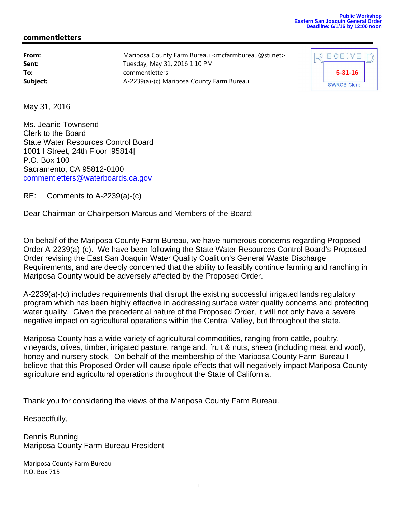## **Public Workshop Eastern San Joaquin General Order Deadline: 6/1/16 by 12:00 noon**

## **commentletters**

| From:    | Mariposa County Farm Bureau <mcfarmbureau@sti.net></mcfarmbureau@sti.net> |
|----------|---------------------------------------------------------------------------|
| Sent:    | Tuesday, May 31, 2016 1:10 PM                                             |
| To:      | commentletters                                                            |
| Subject: | A-2239(a)-(c) Mariposa County Farm Bureau                                 |

| ECEIVE             |  |
|--------------------|--|
| $5 - 31 - 16$      |  |
| <b>SWRCB Clerk</b> |  |

May 31, 2016

Ms. Jeanie Townsend Clerk to the Board State Water Resources Control Board 1001 I Street, 24th Floor [95814] P.O. Box 100 Sacramento, CA 95812-0100 commentletters@waterboards.ca.gov

RE: Comments to A-2239(a)-(c)

Dear Chairman or Chairperson Marcus and Members of the Board:

On behalf of the Mariposa County Farm Bureau, we have numerous concerns regarding Proposed Order A-2239(a)-(c). We have been following the State Water Resources Control Board's Proposed Order revising the East San Joaquin Water Quality Coalition's General Waste Discharge Requirements, and are deeply concerned that the ability to feasibly continue farming and ranching in Mariposa County would be adversely affected by the Proposed Order.

A-2239(a)-(c) includes requirements that disrupt the existing successful irrigated lands regulatory program which has been highly effective in addressing surface water quality concerns and protecting water quality. Given the precedential nature of the Proposed Order, it will not only have a severe negative impact on agricultural operations within the Central Valley, but throughout the state.

Mariposa County has a wide variety of agricultural commodities, ranging from cattle, poultry, vineyards, olives, timber, irrigated pasture, rangeland, fruit & nuts, sheep (including meat and wool), honey and nursery stock. On behalf of the membership of the Mariposa County Farm Bureau I believe that this Proposed Order will cause ripple effects that will negatively impact Mariposa County agriculture and agricultural operations throughout the State of California.

Thank you for considering the views of the Mariposa County Farm Bureau.

Respectfully,

Dennis Bunning Mariposa County Farm Bureau President

Mariposa County Farm Bureau P.O. Box 715